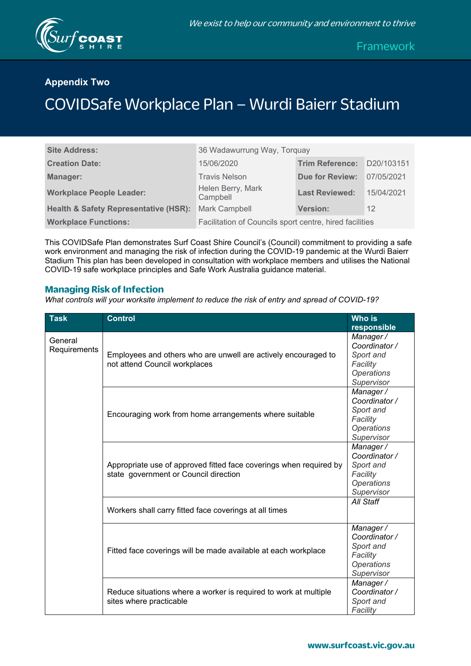

Framework

# **Appendix Two**

# COVIDSafe Workplace Plan – Wurdi Baierr Stadium

| <b>Site Address:</b>                             | 36 Wadawurrung Way, Torquay                             |                        |            |
|--------------------------------------------------|---------------------------------------------------------|------------------------|------------|
| <b>Creation Date:</b>                            | 15/06/2020                                              | <b>Trim Reference:</b> | D20/103151 |
| Manager:                                         | <b>Travis Nelson</b>                                    | <b>Due for Review:</b> | 07/05/2021 |
| <b>Workplace People Leader:</b>                  | Helen Berry, Mark<br>Campbell                           | <b>Last Reviewed:</b>  | 15/04/2021 |
| <b>Health &amp; Safety Representative (HSR):</b> | Mark Campbell                                           | <b>Version:</b>        | 12         |
| <b>Workplace Functions:</b>                      | Facilitation of Councils sport centre, hired facilities |                        |            |

This COVIDSafe Plan demonstrates Surf Coast Shire Council's (Council) commitment to providing a safe work environment and managing the risk of infection during the COVID-19 pandemic at the Wurdi Baierr Stadium This plan has been developed in consultation with workplace members and utilises the National COVID-19 safe workplace principles and Safe Work Australia guidance material.

#### **Managing Risk of Infection**

*What controls will your worksite implement to reduce the risk of entry and spread of COVID-19?*

| <b>Task</b>             | <b>Control</b>                                                                                              | <b>Who is</b><br>responsible                                                          |
|-------------------------|-------------------------------------------------------------------------------------------------------------|---------------------------------------------------------------------------------------|
| General<br>Requirements | Employees and others who are unwell are actively encouraged to<br>not attend Council workplaces             | Manager/<br>Coordinator /<br>Sport and<br>Facility<br><b>Operations</b><br>Supervisor |
|                         | Encouraging work from home arrangements where suitable                                                      | Manager/<br>Coordinator /<br>Sport and<br>Facility<br><b>Operations</b><br>Supervisor |
|                         | Appropriate use of approved fitted face coverings when required by<br>state government or Council direction | Manager/<br>Coordinator /<br>Sport and<br>Facility<br><b>Operations</b><br>Supervisor |
|                         | Workers shall carry fitted face coverings at all times                                                      | All Staff                                                                             |
|                         | Fitted face coverings will be made available at each workplace                                              | Manager/<br>Coordinator /<br>Sport and<br>Facility<br><b>Operations</b><br>Supervisor |
|                         | Reduce situations where a worker is required to work at multiple<br>sites where practicable                 | Manager/<br>Coordinator /<br>Sport and<br>Facility                                    |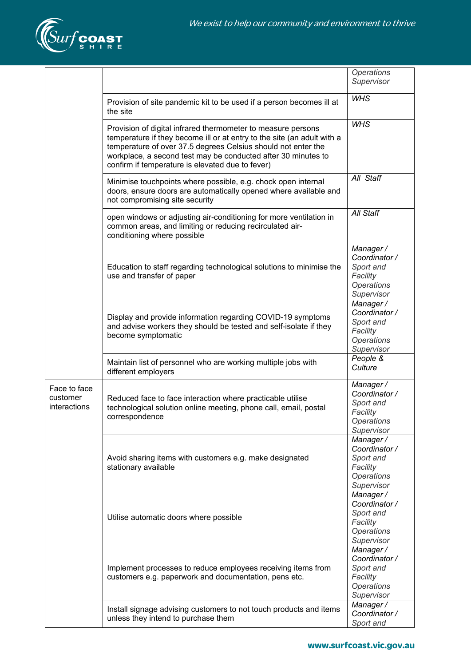

|                                          |                                                                                                                                                                                                                                                                                                                               | Operations<br>Supervisor                                                              |
|------------------------------------------|-------------------------------------------------------------------------------------------------------------------------------------------------------------------------------------------------------------------------------------------------------------------------------------------------------------------------------|---------------------------------------------------------------------------------------|
|                                          | Provision of site pandemic kit to be used if a person becomes ill at<br>the site                                                                                                                                                                                                                                              | <b>WHS</b>                                                                            |
|                                          | Provision of digital infrared thermometer to measure persons<br>temperature if they become ill or at entry to the site (an adult with a<br>temperature of over 37.5 degrees Celsius should not enter the<br>workplace, a second test may be conducted after 30 minutes to<br>confirm if temperature is elevated due to fever) | <b>WHS</b>                                                                            |
|                                          | Minimise touchpoints where possible, e.g. chock open internal<br>doors, ensure doors are automatically opened where available and<br>not compromising site security                                                                                                                                                           | All Staff                                                                             |
|                                          | open windows or adjusting air-conditioning for more ventilation in<br>common areas, and limiting or reducing recirculated air-<br>conditioning where possible                                                                                                                                                                 | All Staff                                                                             |
|                                          | Education to staff regarding technological solutions to minimise the<br>use and transfer of paper                                                                                                                                                                                                                             | Manager/<br>Coordinator /<br>Sport and<br>Facility<br><b>Operations</b><br>Supervisor |
|                                          | Display and provide information regarding COVID-19 symptoms<br>and advise workers they should be tested and self-isolate if they<br>become symptomatic                                                                                                                                                                        | Manager/<br>Coordinator /<br>Sport and<br>Facility<br><b>Operations</b><br>Supervisor |
|                                          | Maintain list of personnel who are working multiple jobs with<br>different employers                                                                                                                                                                                                                                          | People &<br>Culture                                                                   |
| Face to face<br>customer<br>interactions | Reduced face to face interaction where practicable utilise<br>technological solution online meeting, phone call, email, postal<br>correspondence                                                                                                                                                                              | Manager/<br>Coordinator /<br>Sport and<br>Facility<br><b>Operations</b><br>Supervisor |
|                                          | Avoid sharing items with customers e.g. make designated<br>stationary available                                                                                                                                                                                                                                               | Manager/<br>Coordinator /<br>Sport and<br>Facility<br>Operations<br>Supervisor        |
|                                          | Utilise automatic doors where possible                                                                                                                                                                                                                                                                                        | Manager/<br>Coordinator /<br>Sport and<br>Facility<br><b>Operations</b><br>Supervisor |
|                                          | Implement processes to reduce employees receiving items from<br>customers e.g. paperwork and documentation, pens etc.                                                                                                                                                                                                         | Manager/<br>Coordinator /<br>Sport and<br>Facility<br><b>Operations</b><br>Supervisor |
|                                          | Install signage advising customers to not touch products and items<br>unless they intend to purchase them                                                                                                                                                                                                                     | Manager/<br>Coordinator /<br>Sport and                                                |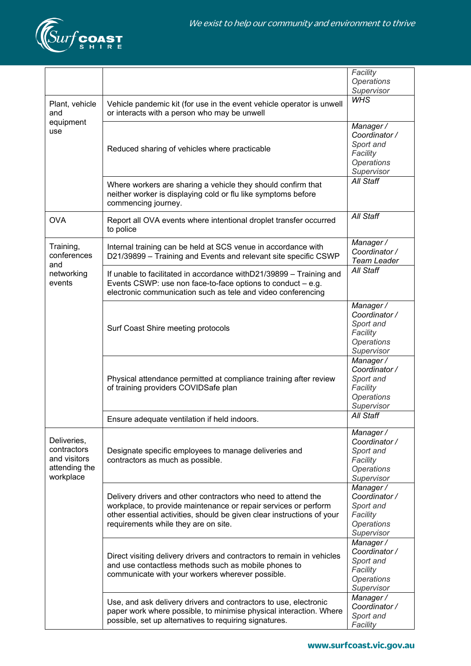

|                                                                          |                                                                                                                                                                                                                                                    | Facility                                                                              |
|--------------------------------------------------------------------------|----------------------------------------------------------------------------------------------------------------------------------------------------------------------------------------------------------------------------------------------------|---------------------------------------------------------------------------------------|
|                                                                          |                                                                                                                                                                                                                                                    | <b>Operations</b><br>Supervisor                                                       |
|                                                                          |                                                                                                                                                                                                                                                    | <b>WHS</b>                                                                            |
| Plant, vehicle<br>and                                                    | Vehicle pandemic kit (for use in the event vehicle operator is unwell<br>or interacts with a person who may be unwell                                                                                                                              |                                                                                       |
| equipment<br>use                                                         |                                                                                                                                                                                                                                                    | Manager/<br>Coordinator /<br>Sport and                                                |
|                                                                          | Reduced sharing of vehicles where practicable                                                                                                                                                                                                      | Facility<br>Operations<br>Supervisor                                                  |
|                                                                          | Where workers are sharing a vehicle they should confirm that<br>neither worker is displaying cold or flu like symptoms before<br>commencing journey.                                                                                               | <b>All Staff</b>                                                                      |
| <b>OVA</b>                                                               | Report all OVA events where intentional droplet transfer occurred<br>to police                                                                                                                                                                     | All Staff                                                                             |
| Training,<br>conferences                                                 | Internal training can be held at SCS venue in accordance with<br>D21/39899 - Training and Events and relevant site specific CSWP                                                                                                                   | Manager/<br>Coordinator /<br><b>Team Leader</b>                                       |
| and<br>networking<br>events                                              | If unable to facilitated in accordance with D21/39899 - Training and<br>Events CSWP: use non face-to-face options to conduct $-$ e.g.<br>electronic communication such as tele and video conferencing                                              | All Staff                                                                             |
|                                                                          | Surf Coast Shire meeting protocols                                                                                                                                                                                                                 | Manager/<br>Coordinator /<br>Sport and<br>Facility<br><b>Operations</b><br>Supervisor |
|                                                                          | Physical attendance permitted at compliance training after review<br>of training providers COVIDSafe plan                                                                                                                                          | Manager/<br>Coordinator /<br>Sport and<br>Facility<br>Operations<br>Supervisor        |
|                                                                          | Ensure adequate ventilation if held indoors.                                                                                                                                                                                                       | All Staff                                                                             |
| Deliveries,<br>contractors<br>and visitors<br>attending the<br>workplace | Designate specific employees to manage deliveries and<br>contractors as much as possible.                                                                                                                                                          | Manager/<br>Coordinator /<br>Sport and<br>Facility<br><b>Operations</b><br>Supervisor |
|                                                                          | Delivery drivers and other contractors who need to attend the<br>workplace, to provide maintenance or repair services or perform<br>other essential activities, should be given clear instructions of your<br>requirements while they are on site. | Manager/<br>Coordinator /<br>Sport and<br>Facility<br>Operations<br>Supervisor        |
|                                                                          | Direct visiting delivery drivers and contractors to remain in vehicles<br>and use contactless methods such as mobile phones to<br>communicate with your workers wherever possible.                                                                 | Manager/<br>Coordinator /<br>Sport and<br>Facility<br><b>Operations</b><br>Supervisor |
|                                                                          | Use, and ask delivery drivers and contractors to use, electronic<br>paper work where possible, to minimise physical interaction. Where<br>possible, set up alternatives to requiring signatures.                                                   | Manager/<br>Coordinator /<br>Sport and<br>Facility                                    |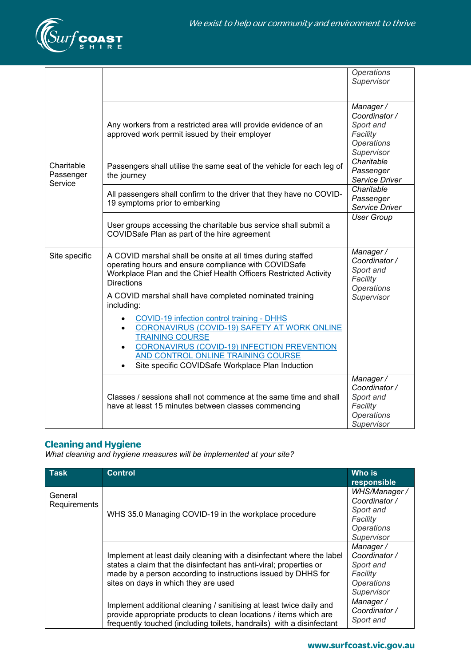

|                                    |                                                                                                                                                                                                              | <b>Operations</b><br>Supervisor                                                       |
|------------------------------------|--------------------------------------------------------------------------------------------------------------------------------------------------------------------------------------------------------------|---------------------------------------------------------------------------------------|
|                                    | Any workers from a restricted area will provide evidence of an<br>approved work permit issued by their employer                                                                                              | Manager/<br>Coordinator /<br>Sport and<br>Facility<br><b>Operations</b><br>Supervisor |
| Charitable<br>Passenger<br>Service | Passengers shall utilise the same seat of the vehicle for each leg of<br>the journey                                                                                                                         | Charitable<br>Passenger<br>Service Driver                                             |
|                                    | All passengers shall confirm to the driver that they have no COVID-<br>19 symptoms prior to embarking                                                                                                        | Charitable<br>Passenger<br>Service Driver                                             |
|                                    | User groups accessing the charitable bus service shall submit a<br>COVIDSafe Plan as part of the hire agreement                                                                                              | <b>User Group</b>                                                                     |
| Site specific                      | A COVID marshal shall be onsite at all times during staffed<br>operating hours and ensure compliance with COVIDSafe<br>Workplace Plan and the Chief Health Officers Restricted Activity<br><b>Directions</b> | Manager/<br>Coordinator /<br>Sport and<br>Facility<br>Operations                      |
|                                    | A COVID marshal shall have completed nominated training<br>including:<br>COVID-19 infection control training - DHHS                                                                                          | Supervisor                                                                            |
|                                    | CORONAVIRUS (COVID-19) SAFETY AT WORK ONLINE<br>$\bullet$<br><b>TRAINING COURSE</b><br><b>CORONAVIRUS (COVID-19) INFECTION PREVENTION</b><br>$\bullet$                                                       |                                                                                       |
|                                    | AND CONTROL ONLINE TRAINING COURSE<br>Site specific COVIDSafe Workplace Plan Induction                                                                                                                       |                                                                                       |
|                                    | Classes / sessions shall not commence at the same time and shall<br>have at least 15 minutes between classes commencing                                                                                      | Manager/<br>Coordinator /<br>Sport and<br>Facility<br><b>Operations</b><br>Supervisor |

## **Cleaning and Hygiene**

*What cleaning and hygiene measures will be implemented at your site?*

| <b>Task</b>             | <b>Control</b>                                                                                                                                                                                                                                       | <b>Who is</b><br>responsible                                                               |
|-------------------------|------------------------------------------------------------------------------------------------------------------------------------------------------------------------------------------------------------------------------------------------------|--------------------------------------------------------------------------------------------|
| General<br>Requirements | WHS 35.0 Managing COVID-19 in the workplace procedure                                                                                                                                                                                                | WHS/Manager /<br>Coordinator /<br>Sport and<br>Facility<br><b>Operations</b><br>Supervisor |
|                         | Implement at least daily cleaning with a disinfectant where the label<br>states a claim that the disinfectant has anti-viral; properties or<br>made by a person according to instructions issued by DHHS for<br>sites on days in which they are used | Manager/<br>Coordinator /<br>Sport and<br>Facility<br><b>Operations</b><br>Supervisor      |
|                         | Implement additional cleaning / sanitising at least twice daily and<br>provide appropriate products to clean locations / items which are<br>frequently touched (including toilets, handrails) with a disinfectant                                    | Manager/<br>Coordinator /<br>Sport and                                                     |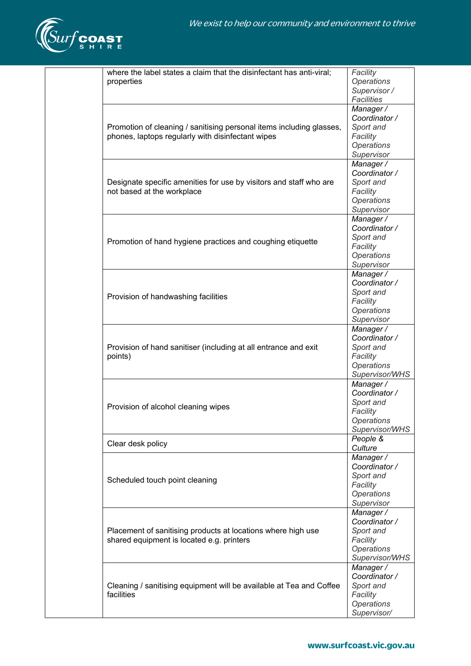

| where the label states a claim that the disinfectant has anti-viral;<br>properties                                        | Facility<br><b>Operations</b><br>Supervisor /<br><b>Facilities</b>                         |
|---------------------------------------------------------------------------------------------------------------------------|--------------------------------------------------------------------------------------------|
| Promotion of cleaning / sanitising personal items including glasses,<br>phones, laptops regularly with disinfectant wipes | Manager /<br>Coordinator /<br>Sport and<br>Facility<br><b>Operations</b><br>Supervisor     |
| Designate specific amenities for use by visitors and staff who are<br>not based at the workplace                          | Manager/<br>Coordinator /<br>Sport and<br>Facility<br><b>Operations</b><br>Supervisor      |
| Promotion of hand hygiene practices and coughing etiquette                                                                | Manager /<br>Coordinator /<br>Sport and<br>Facility<br><b>Operations</b><br>Supervisor     |
| Provision of handwashing facilities                                                                                       | Manager /<br>Coordinator /<br>Sport and<br>Facility<br><b>Operations</b><br>Supervisor     |
| Provision of hand sanitiser (including at all entrance and exit<br>points)                                                | Manager /<br>Coordinator /<br>Sport and<br>Facility<br><b>Operations</b><br>Supervisor/WHS |
| Provision of alcohol cleaning wipes                                                                                       | Manager /<br>Coordinator /<br>Sport and<br>Facility<br>Operations<br>Supervisor/WHS        |
| Clear desk policy                                                                                                         | People &<br>Culture                                                                        |
| Scheduled touch point cleaning                                                                                            | Manager /<br>Coordinator /<br>Sport and<br>Facility<br>Operations<br>Supervisor            |
| Placement of sanitising products at locations where high use<br>shared equipment is located e.g. printers                 | Manager /<br>Coordinator /<br>Sport and<br>Facility<br><b>Operations</b><br>Supervisor/WHS |
| Cleaning / sanitising equipment will be available at Tea and Coffee<br>facilities                                         | Manager /<br>Coordinator /<br>Sport and<br>Facility<br>Operations<br>Supervisor/           |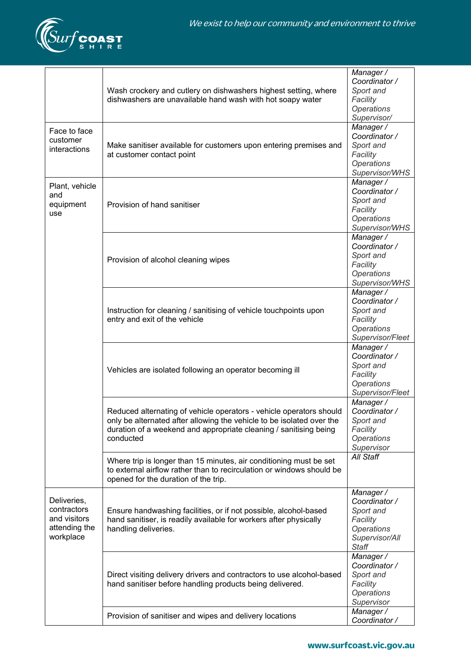

|                                                                          | Wash crockery and cutlery on dishwashers highest setting, where<br>dishwashers are unavailable hand wash with hot soapy water                                                                                                  | Manager /<br>Coordinator /<br>Sport and<br>Facility<br><b>Operations</b><br>Supervisor/                    |
|--------------------------------------------------------------------------|--------------------------------------------------------------------------------------------------------------------------------------------------------------------------------------------------------------------------------|------------------------------------------------------------------------------------------------------------|
| Face to face<br>customer<br>interactions                                 | Make sanitiser available for customers upon entering premises and<br>at customer contact point                                                                                                                                 | Manager/<br>Coordinator /<br>Sport and<br>Facility<br>Operations<br>Supervisor/WHS                         |
| Plant, vehicle<br>and<br>equipment<br>use                                | Provision of hand sanitiser                                                                                                                                                                                                    | Manager/<br>Coordinator /<br>Sport and<br>Facility<br>Operations<br>Supervisor/WHS                         |
|                                                                          | Provision of alcohol cleaning wipes                                                                                                                                                                                            | Manager/<br>Coordinator /<br>Sport and<br>Facility<br>Operations<br>Supervisor/WHS                         |
|                                                                          | Instruction for cleaning / sanitising of vehicle touchpoints upon<br>entry and exit of the vehicle                                                                                                                             | Manager /<br>Coordinator /<br>Sport and<br>Facility<br><b>Operations</b><br>Supervisor/Fleet               |
|                                                                          | Vehicles are isolated following an operator becoming ill                                                                                                                                                                       | Manager /<br>Coordinator /<br>Sport and<br>Facility<br><b>Operations</b><br>Supervisor/Fleet               |
|                                                                          | Reduced alternating of vehicle operators - vehicle operators should<br>only be alternated after allowing the vehicle to be isolated over the<br>duration of a weekend and appropriate cleaning / sanitising being<br>conducted | Manager/<br>Coordinator /<br>Sport and<br>Facility<br><b>Operations</b><br>Supervisor                      |
|                                                                          | Where trip is longer than 15 minutes, air conditioning must be set<br>to external airflow rather than to recirculation or windows should be<br>opened for the duration of the trip.                                            | All Staff                                                                                                  |
| Deliveries,<br>contractors<br>and visitors<br>attending the<br>workplace | Ensure handwashing facilities, or if not possible, alcohol-based<br>hand sanitiser, is readily available for workers after physically<br>handling deliveries.                                                                  | Manager /<br>Coordinator /<br>Sport and<br>Facility<br><b>Operations</b><br>Supervisor/All<br><b>Staff</b> |
|                                                                          | Direct visiting delivery drivers and contractors to use alcohol-based<br>hand sanitiser before handling products being delivered.                                                                                              | Manager /<br>Coordinator /<br>Sport and<br>Facility<br><b>Operations</b><br>Supervisor                     |
|                                                                          | Provision of sanitiser and wipes and delivery locations                                                                                                                                                                        | Manager /<br>Coordinator /                                                                                 |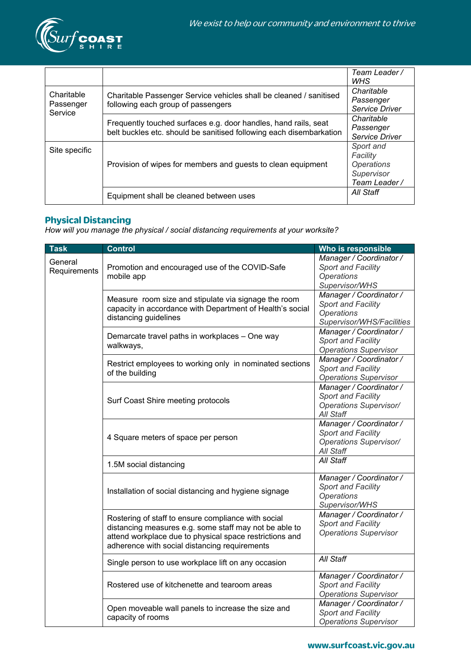

|                                    |                                                                                                                                        | Team Leader /<br><b>WHS</b>                                                      |
|------------------------------------|----------------------------------------------------------------------------------------------------------------------------------------|----------------------------------------------------------------------------------|
| Charitable<br>Passenger<br>Service | Charitable Passenger Service vehicles shall be cleaned / sanitised<br>following each group of passengers                               | Charitable<br>Passenger<br>Service Driver                                        |
|                                    | Frequently touched surfaces e.g. door handles, hand rails, seat<br>belt buckles etc. should be sanitised following each disembarkation | Charitable<br>Passenger<br>Service Driver                                        |
| Site specific                      | Provision of wipes for members and guests to clean equipment                                                                           | Sport and<br>Facility<br><i><b>Operations</b></i><br>Supervisor<br>Team Leader / |
|                                    | Equipment shall be cleaned between uses                                                                                                | All Staff                                                                        |

#### **Physical Distancing**

*How will you manage the physical / social distancing requirements at your worksite?*

| <b>Task</b>             | <b>Control</b>                                                                                                                                                                                                            | Who is responsible                                                                                     |
|-------------------------|---------------------------------------------------------------------------------------------------------------------------------------------------------------------------------------------------------------------------|--------------------------------------------------------------------------------------------------------|
| General<br>Requirements | Promotion and encouraged use of the COVID-Safe<br>mobile app                                                                                                                                                              | Manager / Coordinator /<br>Sport and Facility<br><b>Operations</b><br>Supervisor/WHS                   |
|                         | Measure room size and stipulate via signage the room<br>capacity in accordance with Department of Health's social<br>distancing guidelines                                                                                | Manager / Coordinator /<br><b>Sport and Facility</b><br><b>Operations</b><br>Supervisor/WHS/Facilities |
|                         | Demarcate travel paths in workplaces - One way<br>walkways,                                                                                                                                                               | Manager / Coordinator /<br><b>Sport and Facility</b><br><b>Operations Supervisor</b>                   |
|                         | Restrict employees to working only in nominated sections<br>of the building                                                                                                                                               | Manager / Coordinator /<br><b>Sport and Facility</b><br><b>Operations Supervisor</b>                   |
|                         | Surf Coast Shire meeting protocols                                                                                                                                                                                        | Manager / Coordinator /<br>Sport and Facility<br><b>Operations Supervisor/</b><br>All Staff            |
|                         | 4 Square meters of space per person                                                                                                                                                                                       | Manager / Coordinator /<br><b>Sport and Facility</b><br><b>Operations Supervisor/</b><br>All Staff     |
|                         | 1.5M social distancing                                                                                                                                                                                                    | All Staff                                                                                              |
|                         | Installation of social distancing and hygiene signage                                                                                                                                                                     | Manager / Coordinator /<br><b>Sport and Facility</b><br><b>Operations</b><br>Supervisor/WHS            |
|                         | Rostering of staff to ensure compliance with social<br>distancing measures e.g. some staff may not be able to<br>attend workplace due to physical space restrictions and<br>adherence with social distancing requirements | Manager / Coordinator /<br>Sport and Facility<br><b>Operations Supervisor</b>                          |
|                         | Single person to use workplace lift on any occasion                                                                                                                                                                       | All Staff                                                                                              |
|                         | Rostered use of kitchenette and tearoom areas                                                                                                                                                                             | Manager / Coordinator /<br><b>Sport and Facility</b><br><b>Operations Supervisor</b>                   |
|                         | Open moveable wall panels to increase the size and<br>capacity of rooms                                                                                                                                                   | Manager / Coordinator /<br><b>Sport and Facility</b><br><b>Operations Supervisor</b>                   |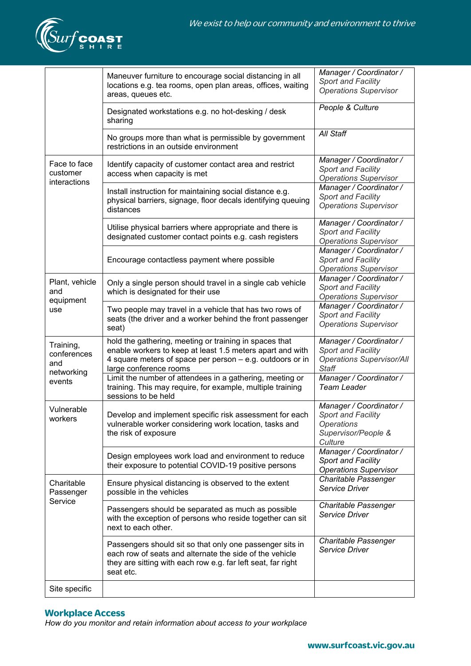

|                                                         | Maneuver furniture to encourage social distancing in all<br>locations e.g. tea rooms, open plan areas, offices, waiting<br>areas, queues etc.                                                              | Manager / Coordinator /<br>Sport and Facility<br><b>Operations Supervisor</b>                               |
|---------------------------------------------------------|------------------------------------------------------------------------------------------------------------------------------------------------------------------------------------------------------------|-------------------------------------------------------------------------------------------------------------|
|                                                         | Designated workstations e.g. no hot-desking / desk<br>sharing                                                                                                                                              | People & Culture                                                                                            |
|                                                         | No groups more than what is permissible by government<br>restrictions in an outside environment                                                                                                            | All Staff                                                                                                   |
| Face to face<br>customer<br>interactions                | Identify capacity of customer contact area and restrict<br>access when capacity is met                                                                                                                     | Manager / Coordinator /<br><b>Sport and Facility</b><br><b>Operations Supervisor</b>                        |
|                                                         | Install instruction for maintaining social distance e.g.<br>physical barriers, signage, floor decals identifying queuing<br>distances                                                                      | Manager / Coordinator /<br>Sport and Facility<br><b>Operations Supervisor</b>                               |
|                                                         | Utilise physical barriers where appropriate and there is<br>designated customer contact points e.g. cash registers                                                                                         | Manager / Coordinator /<br><b>Sport and Facility</b><br><b>Operations Supervisor</b>                        |
|                                                         | Encourage contactless payment where possible                                                                                                                                                               | Manager / Coordinator /<br>Sport and Facility<br><b>Operations Supervisor</b>                               |
| Plant, vehicle<br>and<br>equipment<br>use               | Only a single person should travel in a single cab vehicle<br>which is designated for their use                                                                                                            | Manager / Coordinator /<br><b>Sport and Facility</b><br><b>Operations Supervisor</b>                        |
|                                                         | Two people may travel in a vehicle that has two rows of<br>seats (the driver and a worker behind the front passenger<br>seat)                                                                              | Manager / Coordinator /<br>Sport and Facility<br><b>Operations Supervisor</b>                               |
| Training,<br>conferences<br>and<br>networking<br>events | hold the gathering, meeting or training in spaces that<br>enable workers to keep at least 1.5 meters apart and with<br>4 square meters of space per person - e.g. outdoors or in<br>large conference rooms | Manager / Coordinator /<br><b>Sport and Facility</b><br><b>Operations Supervisor/All</b><br>Staff           |
|                                                         | Limit the number of attendees in a gathering, meeting or<br>training. This may require, for example, multiple training<br>sessions to be held                                                              | Manager / Coordinator /<br><b>Team Leader</b>                                                               |
| Vulnerable<br>workers                                   | Develop and implement specific risk assessment for each<br>vulnerable worker considering work location, tasks and<br>the risk of exposure                                                                  | Manager / Coordinator /<br><b>Sport and Facility</b><br><b>Operations</b><br>Supervisor/People &<br>Culture |
|                                                         | Design employees work load and environment to reduce<br>their exposure to potential COVID-19 positive persons                                                                                              | Manager / Coordinator /<br>Sport and Facility<br><b>Operations Supervisor</b>                               |
| Charitable<br>Passenger<br>Service                      | Ensure physical distancing is observed to the extent<br>possible in the vehicles                                                                                                                           | Charitable Passenger<br>Service Driver                                                                      |
|                                                         | Passengers should be separated as much as possible<br>with the exception of persons who reside together can sit<br>next to each other.                                                                     | Charitable Passenger<br>Service Driver                                                                      |
|                                                         | Passengers should sit so that only one passenger sits in<br>each row of seats and alternate the side of the vehicle<br>they are sitting with each row e.g. far left seat, far right<br>seat etc.           | Charitable Passenger<br>Service Driver                                                                      |
| Site specific                                           |                                                                                                                                                                                                            |                                                                                                             |

## **Workplace Access**

*How do you monitor and retain information about access to your workplace*